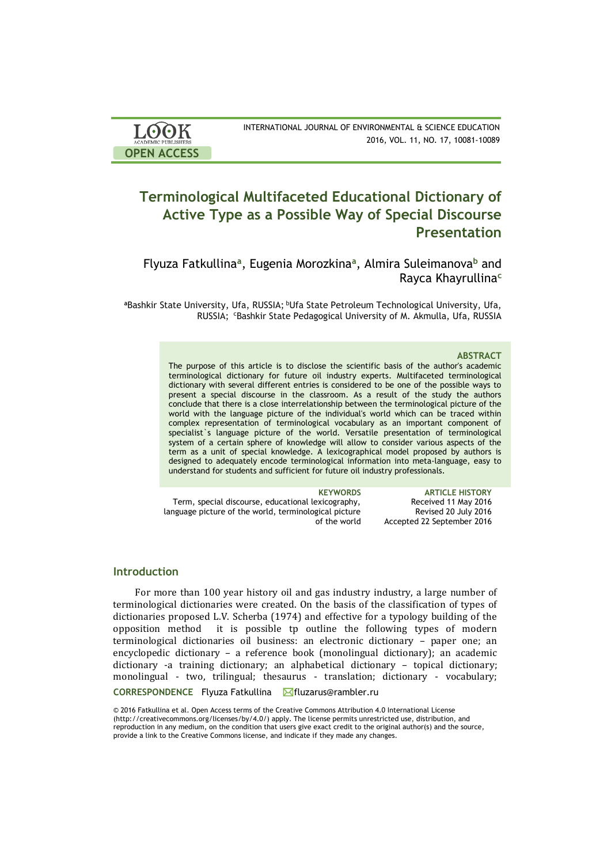| <b>LOOK</b>                | INTERNATIONAL JOURNAL OF ENVIRONMENTAL & SCIENCE EDUCATION |
|----------------------------|------------------------------------------------------------|
| <b>ACADEMIC PUBLISHERS</b> | 2016, VOL. 11, NO. 17, 10081-10089                         |
| <b>OPEN ACCESS</b>         |                                                            |

# **Terminological Multifaceted Educational Dictionary of Active Type as a Possible Way of Special Discourse Presentation**

Flyuza Fatkullina**<sup>a</sup>** , Eugenia Morozkina**<sup>a</sup>** , Almira Suleimanova**<sup>b</sup>** and Rayca Khayrullina**<sup>c</sup>**

<sup>a</sup>Bashkir State University, Ufa, RUSSIA; <sup>b</sup>Ufa State Petroleum Technological University, Ufa, RUSSIA; CBashkir State Pedagogical University of M. Akmulla, Ufa, RUSSIA

### **ABSTRACT**

The purpose of this article is to disclose the scientific basis of the author's academic terminological dictionary for future oil industry experts. Multifaceted terminological dictionary with several different entries is considered to be one of the possible ways to present a special discourse in the classroom. As a result of the study the authors conclude that there is a close interrelationship between the terminological picture of the world with the language picture of the individual's world which can be traced within complex representation of terminological vocabulary as an important component of specialist`s language picture of the world. Versatile presentation of terminological system of a certain sphere of knowledge will allow to consider various aspects of the term as a unit of special knowledge. A lexicographical model proposed by authors is designed to adequately encode terminological information into meta-language, easy to understand for students and sufficient for future oil industry professionals.

**KEYWORDS ARTICLE HISTORY** Term, special discourse, educational lexicography, language picture of the world, terminological picture of the world Received 11 May 2016 Revised 20 July 2016 Accepted 22 September 2016

## **Introduction**

CORRESPONDENCE Flyuza Fatkullina **M**fluzarus@rambler.ru For more than 100 year history oil and gas industry industry, a large number of terminological dictionaries were created. On the basis of the classification of types of dictionaries proposed L.V. Scherba (1974) and effective for a typology building of the opposition method it is possible tp outline the following types of modern terminological dictionaries oil business: an electronic dictionary – paper one; an encyclopedic dictionary – a reference book (monolingual dictionary); an academic dictionary -a training dictionary; an alphabetical dictionary – topical dictionary; monolingual - two, trilingual; thesaurus - translation; dictionary - vocabulary;

© 2016 Fatkullina et al. Open Access terms of the Creative Commons Attribution 4.0 International License (http://creativecommons.org/licenses/by/4.0/) apply. The license permits unrestricted use, distribution, and reproduction in any medium, on the condition that users give exact credit to the original author(s) and the source, provide a link to the Creative Commons license, and indicate if they made any changes.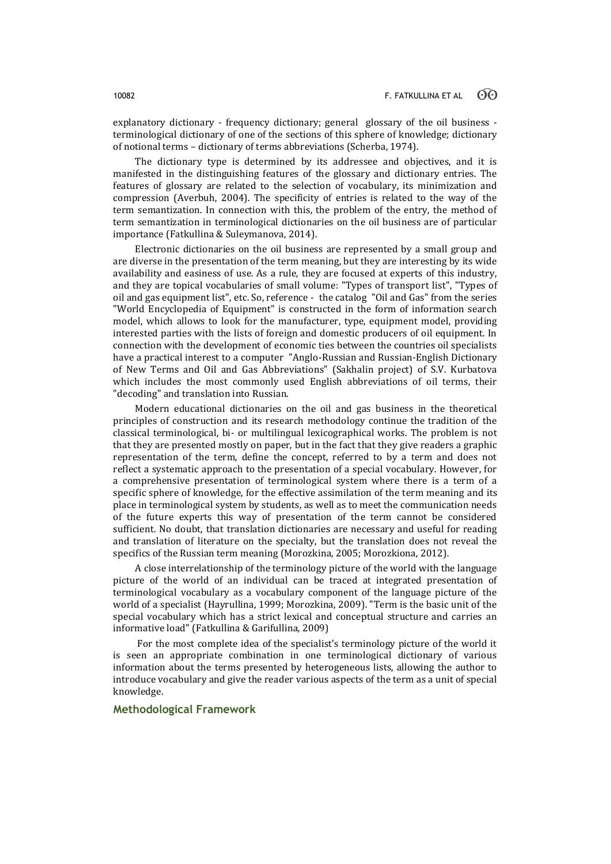explanatory dictionary - frequency dictionary; general glossary of the oil business terminological dictionary of one of the sections of this sphere of knowledge; dictionary of notional terms – dictionary of terms abbreviations (Scherba, 1974).

The dictionary type is determined by its addressee and objectives, and it is manifested in the distinguishing features of the glossary and dictionary entries. The features of glossary are related to the selection of vocabulary, its minimization and compression (Averbuh, 2004). The specificity of entries is related to the way of the term semantization. In connection with this, the problem of the entry, the method of term semantization in terminological dictionaries on the oil business are of particular importance (Fatkullina & Suleymanova, 2014).

Electronic dictionaries on the oil business are represented by a small group and are diverse in the presentation of the term meaning, but they are interesting by its wide availability and easiness of use. As a rule, they are focused at experts of this industry, and they are topical vocabularies of small volume: "Types of transport list", "Types of oil and gas equipment list", etc. So, reference - the catalog "Oil and Gas" from the series "World Encyclopedia of Equipment" is constructed in the form of information search model, which allows to look for the manufacturer, type, equipment model, providing interested parties with the lists of foreign and domestic producers of oil equipment. In connection with the development of economic ties between the countries oil specialists have a practical interest to a computer "Anglo-Russian and Russian-English Dictionary of New Terms and Oil and Gas Abbreviations" (Sakhalin project) of S.V. Kurbatova which includes the most commonly used English abbreviations of oil terms, their "decoding" and translation into Russian.

Modern educational dictionaries on the oil and gas business in the theoretical principles of construction and its research methodology continue the tradition of the classical terminological, bi- or multilingual lexicographical works. The problem is not that they are presented mostly on paper, but in the fact that they give readers a graphic representation of the term, define the concept, referred to by a term and does not reflect a systematic approach to the presentation of a special vocabulary. However, for a comprehensive presentation of terminological system where there is a term of a specific sphere of knowledge, for the effective assimilation of the term meaning and its place in terminological system by students, as well as to meet the communication needs of the future experts this way of presentation of the term cannot be considered sufficient. No doubt, that translation dictionaries are necessary and useful for reading and translation of literature on the specialty, but the translation does not reveal the specifics of the Russian term meaning (Morozkina, 2005; Morozkiona, 2012).

A close interrelationship of the terminology picture of the world with the language picture of the world of an individual can be traced at integrated presentation of terminological vocabulary as a vocabulary component of the language picture of the world of a specialist (Hayrullina, 1999; Morozkina, 2009). "Term is the basic unit of the special vocabulary which has a strict lexical and conceptual structure and carries an informative load" (Fatkullina & Garifullina, 2009)

For the most complete idea of the specialist's terminology picture of the world it is seen an appropriate combination in one terminological dictionary of various information about the terms presented by heterogeneous lists, allowing the author to introduce vocabulary and give the reader various aspects of the term as a unit of special knowledge.

# **Methodological Framework**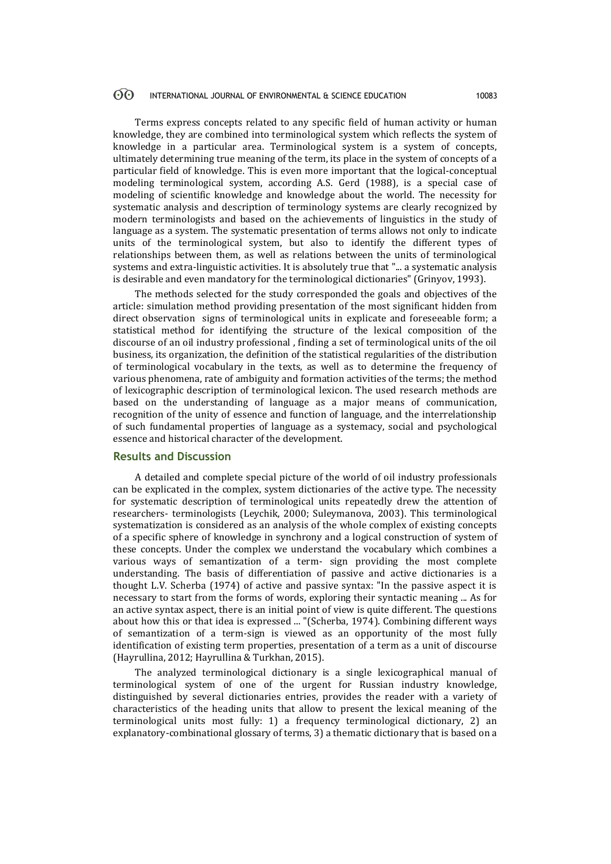#### $\odot$ INTERNATIONAL JOURNAL OF ENVIRONMENTAL & SCIENCE EDUCATION 10083

Terms express concepts related to any specific field of human activity or human knowledge, they are combined into terminological system which reflects the system of knowledge in a particular area. Terminological system is a system of concepts, ultimately determining true meaning of the term, its place in the system of concepts of a particular field of knowledge. This is even more important that the logical-conceptual modeling terminological system, according A.S. Gerd (1988), is a special case of modeling of scientific knowledge and knowledge about the world. The necessity for systematic analysis and description of terminology systems are clearly recognized by modern terminologists and based on the achievements of linguistics in the study of language as a system. The systematic presentation of terms allows not only to indicate units of the terminological system, but also to identify the different types of relationships between them, as well as relations between the units of terminological systems and extra-linguistic activities. It is absolutely true that "... a systematic analysis is desirable and even mandatory for the terminological dictionaries" (Grinyov, 1993).

The methods selected for the study corresponded the goals and objectives of the article: simulation method providing presentation of the most significant hidden from direct observation signs of terminological units in explicate and foreseeable form; a statistical method for identifying the structure of the lexical composition of the discourse of an oil industry professional , finding a set of terminological units of the oil business, its organization, the definition of the statistical regularities of the distribution of terminological vocabulary in the texts, as well as to determine the frequency of various phenomena, rate of ambiguity and formation activities of the terms; the method of lexicographic description of terminological lexicon. The used research methods are based on the understanding of language as a major means of communication, recognition of the unity of essence and function of language, and the interrelationship of such fundamental properties of language as a systemacy, social and psychological essence and historical character of the development.

# **Results and Discussion**

A detailed and complete special picture of the world of oil industry professionals can be explicated in the complex, system dictionaries of the active type. The necessity for systematic description of terminological units repeatedly drew the attention of researchers- terminologists (Leychik, 2000; Suleymanova, 2003). This terminological systematization is considered as an analysis of the whole complex of existing concepts of a specific sphere of knowledge in synchrony and a logical construction of system of these concepts. Under the complex we understand the vocabulary which combines a various ways of semantization of a term- sign providing the most complete understanding. The basis of differentiation of passive and active dictionaries is a thought L.V. Scherba (1974) of active and passive syntax: "In the passive aspect it is necessary to start from the forms of words, exploring their syntactic meaning ... As for an active syntax aspect, there is an initial point of view is quite different. The questions about how this or that idea is expressed ... "(Scherba, 1974). Combining different ways of semantization of a term-sign is viewed as an opportunity of the most fully identification of existing term properties, presentation of a term as a unit of discourse (Hayrullina, 2012; Hayrullina & Turkhan, 2015).

The analyzed terminological dictionary is a single lexicographical manual of terminological system of one of the urgent for Russian industry knowledge, distinguished by several dictionaries entries, provides the reader with a variety of characteristics of the heading units that allow to present the lexical meaning of the terminological units most fully: 1) a frequency terminological dictionary, 2) an explanatory-combinational glossary of terms, 3) a thematic dictionary that is based on a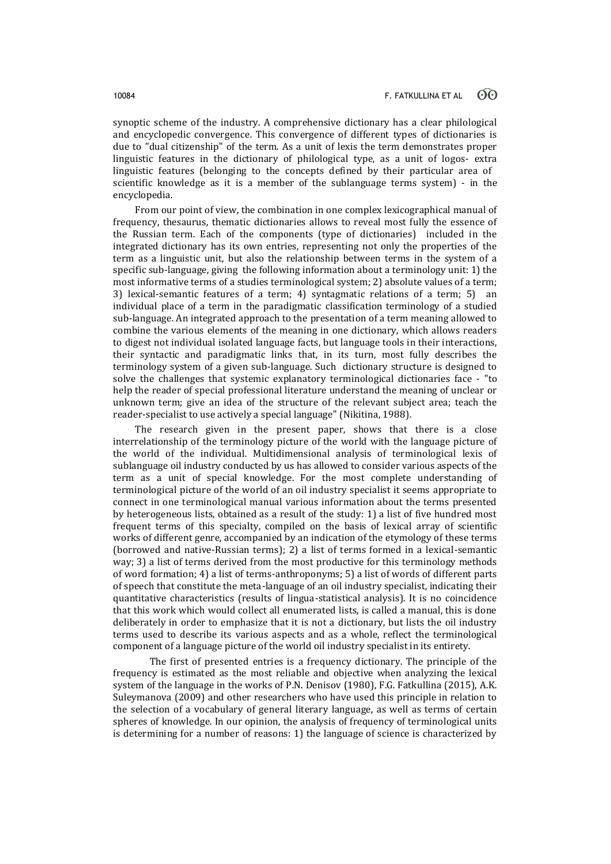synoptic scheme of the industry. A comprehensive dictionary has a clear philological and encyclopedic convergence. This convergence of different types of dictionaries is due to "dual citizenship" of the term. As a unit of lexis the term demonstrates proper linguistic features in the dictionary of philological type, as a unit of logos- extra linguistic features (belonging to the concepts defined by their particular area of scientific knowledge as it is a member of the sublanguage terms system) - in the encyclopedia.

From our point of view, the combination in one complex lexicographical manual of frequency, thesaurus, thematic dictionaries allows to reveal most fully the essence of the Russian term. Each of the components (type of dictionaries) included in the integrated dictionary has its own entries, representing not only the properties of the term as a linguistic unit, but also the relationship between terms in the system of a specific sub-language, giving the following information about a terminology unit: 1) the most informative terms of a studies terminological system; 2) absolute values of a term; 3) lexical-semantic features of a term; 4) syntagmatic relations of a term; 5) an individual place of a term in the paradigmatic classification terminology of a studied sub-language. An integrated approach to the presentation of a term meaning allowed to combine the various elements of the meaning in one dictionary, which allows readers to digest not individual isolated language facts, but language tools in their interactions, their syntactic and paradigmatic links that, in its turn, most fully describes the terminology system of a given sub-language. Such dictionary structure is designed to solve the challenges that systemic explanatory terminological dictionaries face - "to help the reader of special professional literature understand the meaning of unclear or unknown term; give an idea of the structure of the relevant subject area; teach the reader-specialist to use actively a special language" (Nikitina, 1988).

The research given in the present paper, shows that there is a close interrelationship of the terminology picture of the world with the language picture of the world of the individual. Multidimensional analysis of terminological lexis of sublanguage oil industry conducted by us has allowed to consider various aspects of the term as a unit of special knowledge. For the most complete understanding of terminological picture of the world of an oil industry specialist it seems appropriate to connect in one terminological manual various information about the terms presented by heterogeneous lists, obtained as a result of the study: 1) a list of five hundred most frequent terms of this specialty, compiled on the basis of lexical array of scientific works of different genre, accompanied by an indication of the etymology of these terms (borrowed and native-Russian terms); 2) a list of terms formed in a lexical-semantic way; 3) a list of terms derived from the most productive for this terminology methods of word formation; 4) a list of terms-anthroponyms; 5) a list of words of different parts of speech that constitute the meta-language of an oil industry specialist, indicating their quantitative characteristics (results of lingua-statistical analysis). It is no coincidence that this work which would collect all enumerated lists, is called a manual, this is done deliberately in order to emphasize that it is not a dictionary, but lists the oil industry terms used to describe its various aspects and as a whole, reflect the terminological component of a language picture of the world oil industry specialist in its entirety.

The first of presented entries is a frequency dictionary. The principle of the frequency is estimated as the most reliable and objective when analyzing the lexical system of the language in the works of P.N. Denisov (1980), F.G. Fatkullina (2015), A.K. Suleymanova (2009) and other researchers who have used this principle in relation to the selection of a vocabulary of general literary language, as well as terms of certain spheres of knowledge. In our opinion, the analysis of frequency of terminological units is determining for a number of reasons: 1) the language of science is characterized by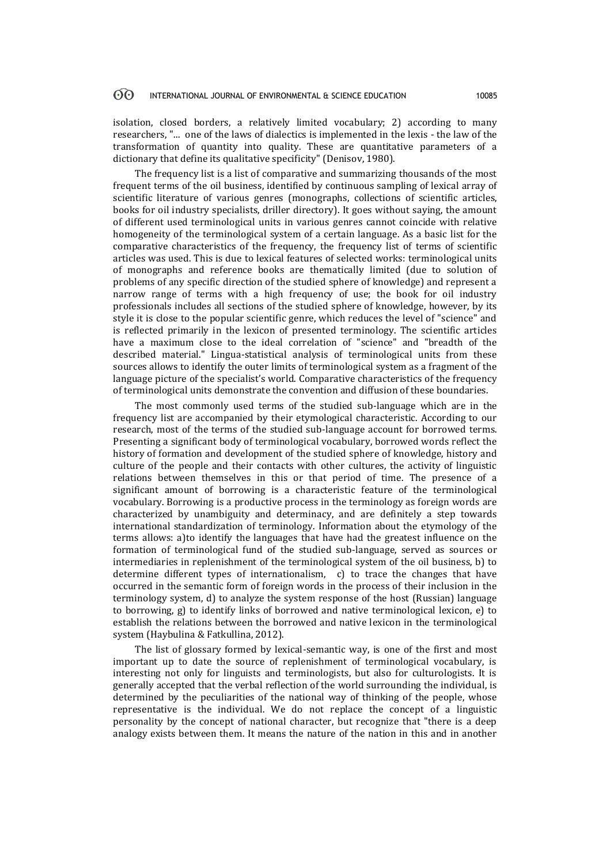#### 60 INTERNATIONAL JOURNAL OF ENVIRONMENTAL & SCIENCE EDUCATION 10085

isolation, closed borders, a relatively limited vocabulary; 2) according to many researchers, "... one of the laws of dialectics is implemented in the lexis - the law of the transformation of quantity into quality. These are quantitative parameters of a dictionary that define its qualitative specificity" (Denisov, 1980).

The frequency list is a list of comparative and summarizing thousands of the most frequent terms of the oil business, identified by continuous sampling of lexical array of scientific literature of various genres (monographs, collections of scientific articles, books for oil industry specialists, driller directory). It goes without saying, the amount of different used terminological units in various genres cannot coincide with relative homogeneity of the terminological system of a certain language. As a basic list for the comparative characteristics of the frequency, the frequency list of terms of scientific articles was used. This is due to lexical features of selected works: terminological units of monographs and reference books are thematically limited (due to solution of problems of any specific direction of the studied sphere of knowledge) and represent a narrow range of terms with a high frequency of use; the book for oil industry professionals includes all sections of the studied sphere of knowledge, however, by its style it is close to the popular scientific genre, which reduces the level of "science" and is reflected primarily in the lexicon of presented terminology. The scientific articles have a maximum close to the ideal correlation of "science" and "breadth of the described material." Lingua-statistical analysis of terminological units from these sources allows to identify the outer limits of terminological system as a fragment of the language picture of the specialist's world. Comparative characteristics of the frequency of terminological units demonstrate the convention and diffusion of these boundaries.

The most commonly used terms of the studied sub-language which are in the frequency list are accompanied by their etymological characteristic. According to our research, most of the terms of the studied sub-language account for borrowed terms. Presenting a significant body of terminological vocabulary, borrowed words reflect the history of formation and development of the studied sphere of knowledge, history and culture of the people and their contacts with other cultures, the activity of linguistic relations between themselves in this or that period of time. The presence of a significant amount of borrowing is a characteristic feature of the terminological vocabulary. Borrowing is a productive process in the terminology as foreign words are characterized by unambiguity and determinacy, and are definitely a step towards international standardization of terminology. Information about the etymology of the terms allows: a)to identify the languages that have had the greatest influence on the formation of terminological fund of the studied sub-language, served as sources or intermediaries in replenishment of the terminological system of the oil business, b) to determine different types of internationalism, c) to trace the changes that have occurred in the semantic form of foreign words in the process of their inclusion in the terminology system, d) to analyze the system response of the host (Russian) language to borrowing, g) to identify links of borrowed and native terminological lexicon, e) to establish the relations between the borrowed and native lexicon in the terminological system (Haybulina & Fatkullina, 2012).

The list of glossary formed by lexical-semantic way, is one of the first and most important up to date the source of replenishment of terminological vocabulary, is interesting not only for linguists and terminologists, but also for culturologists. It is generally accepted that the verbal reflection of the world surrounding the individual, is determined by the peculiarities of the national way of thinking of the people, whose representative is the individual. We do not replace the concept of a linguistic personality by the concept of national character, but recognize that "there is a deep analogy exists between them. It means the nature of the nation in this and in another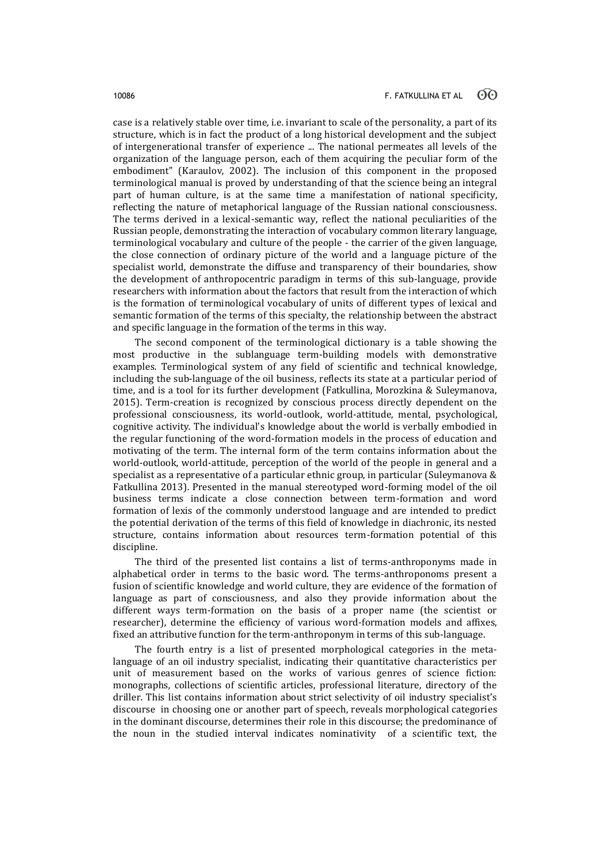case is a relatively stable over time, i.e. invariant to scale of the personality, a part of its structure, which is in fact the product of a long historical development and the subject of intergenerational transfer of experience ... The national permeates all levels of the organization of the language person, each of them acquiring the peculiar form of the embodiment" (Karaulov, 2002). The inclusion of this component in the proposed terminological manual is proved by understanding of that the science being an integral part of human culture, is at the same time a manifestation of national specificity, reflecting the nature of metaphorical language of the Russian national consciousness. The terms derived in a lexical-semantic way, reflect the national peculiarities of the Russian people, demonstrating the interaction of vocabulary common literary language, terminological vocabulary and culture of the people - the carrier of the given language, the close connection of ordinary picture of the world and a language picture of the specialist world, demonstrate the diffuse and transparency of their boundaries, show the development of anthropocentric paradigm in terms of this sub-language, provide researchers with information about the factors that result from the interaction of which is the formation of terminological vocabulary of units of different types of lexical and semantic formation of the terms of this specialty, the relationship between the abstract and specific language in the formation of the terms in this way.

The second component of the terminological dictionary is a table showing the most productive in the sublanguage term-building models with demonstrative examples. Terminological system of any field of scientific and technical knowledge, including the sub-language of the oil business, reflects its state at a particular period of time, and is a tool for its further development (Fatkullina, Morozkina & Suleymanova, 2015). Term-creation is recognized by conscious process directly dependent on the professional consciousness, its world-outlook, world-attitude, mental, psychological, cognitive activity. The individual's knowledge about the world is verbally embodied in the regular functioning of the word-formation models in the process of education and motivating of the term. The internal form of the term contains information about the world-outlook, world-attitude, perception of the world of the people in general and a specialist as a representative of a particular ethnic group, in particular (Suleymanova & Fatkullina 2013). Presented in the manual stereotyped word-forming model of the oil business terms indicate a close connection between term-formation and word formation of lexis of the commonly understood language and are intended to predict the potential derivation of the terms of this field of knowledge in diachronic, its nested structure, contains information about resources term-formation potential of this discipline.

The third of the presented list contains a list of terms-anthroponyms made in alphabetical order in terms to the basic word. The terms-anthroponoms present a fusion of scientific knowledge and world culture, they are evidence of the formation of language as part of consciousness, and also they provide information about the different ways term-formation on the basis of a proper name (the scientist or researcher), determine the efficiency of various word-formation models and affixes, fixed an attributive function for the term-anthroponym in terms of this sub-language.

The fourth entry is a list of presented morphological categories in the metalanguage of an oil industry specialist, indicating their quantitative characteristics per unit of measurement based on the works of various genres of science fiction: monographs, collections of scientific articles, professional literature, directory of the driller. This list contains information about strict selectivity of oil industry specialist's discourse in choosing one or another part of speech, reveals morphological categories in the dominant discourse, determines their role in this discourse; the predominance of the noun in the studied interval indicates nominativity of a scientific text, the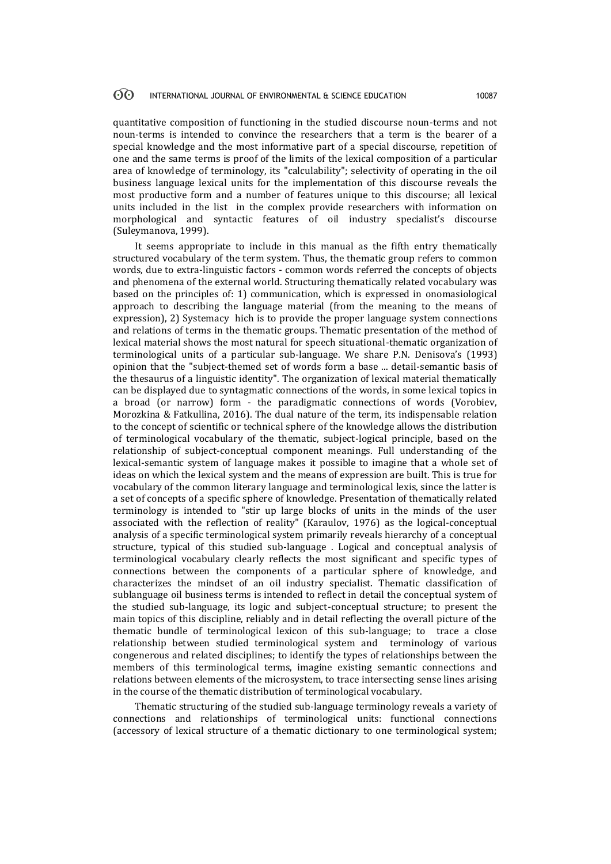quantitative composition of functioning in the studied discourse noun-terms and not noun-terms is intended to convince the researchers that a term is the bearer of a special knowledge and the most informative part of a special discourse, repetition of one and the same terms is proof of the limits of the lexical composition of a particular area of knowledge of terminology, its "calculability"; selectivity of operating in the oil business language lexical units for the implementation of this discourse reveals the most productive form and a number of features unique to this discourse; all lexical units included in the list in the complex provide researchers with information on morphological and syntactic features of oil industry specialist's discourse (Suleymanova, 1999).

It seems appropriate to include in this manual as the fifth entry thematically structured vocabulary of the term system. Thus, the thematic group refers to common words, due to extra-linguistic factors - common words referred the concepts of objects and phenomena of the external world. Structuring thematically related vocabulary was based on the principles of: 1) communication, which is expressed in onomasiological approach to describing the language material (from the meaning to the means of expression), 2) Systemacy hich is to provide the proper language system connections and relations of terms in the thematic groups. Thematic presentation of the method of lexical material shows the most natural for speech situational-thematic organization of terminological units of a particular sub-language. We share P.N. Denisova's (1993) opinion that the "subject-themed set of words form a base ... detail-semantic basis of the thesaurus of a linguistic identity". The organization of lexical material thematically can be displayed due to syntagmatic connections of the words, in some lexical topics in a broad (or narrow) form - the paradigmatic connections of words (Vorobiev, Morozkina & Fatkullina, 2016). The dual nature of the term, its indispensable relation to the concept of scientific or technical sphere of the knowledge allows the distribution of terminological vocabulary of the thematic, subject-logical principle, based on the relationship of subject-conceptual component meanings. Full understanding of the lexical-semantic system of language makes it possible to imagine that a whole set of ideas on which the lexical system and the means of expression are built. This is true for vocabulary of the common literary language and terminological lexis, since the latter is a set of concepts of a specific sphere of knowledge. Presentation of thematically related terminology is intended to "stir up large blocks of units in the minds of the user associated with the reflection of reality" (Karaulov, 1976) as the logical-conceptual analysis of a specific terminological system primarily reveals hierarchy of a conceptual structure, typical of this studied sub-language . Logical and conceptual analysis of terminological vocabulary clearly reflects the most significant and specific types of connections between the components of a particular sphere of knowledge, and characterizes the mindset of an oil industry specialist. Thematic classification of sublanguage oil business terms is intended to reflect in detail the conceptual system of the studied sub-language, its logic and subject-conceptual structure; to present the main topics of this discipline, reliably and in detail reflecting the overall picture of the thematic bundle of terminological lexicon of this sub-language; to trace a close relationship between studied terminological system and terminology of various congenerous and related disciplines; to identify the types of relationships between the members of this terminological terms, imagine existing semantic connections and relations between elements of the microsystem, to trace intersecting sense lines arising in the course of the thematic distribution of terminological vocabulary.

Thematic structuring of the studied sub-language terminology reveals a variety of connections and relationships of terminological units: functional connections (accessory of lexical structure of a thematic dictionary to one terminological system;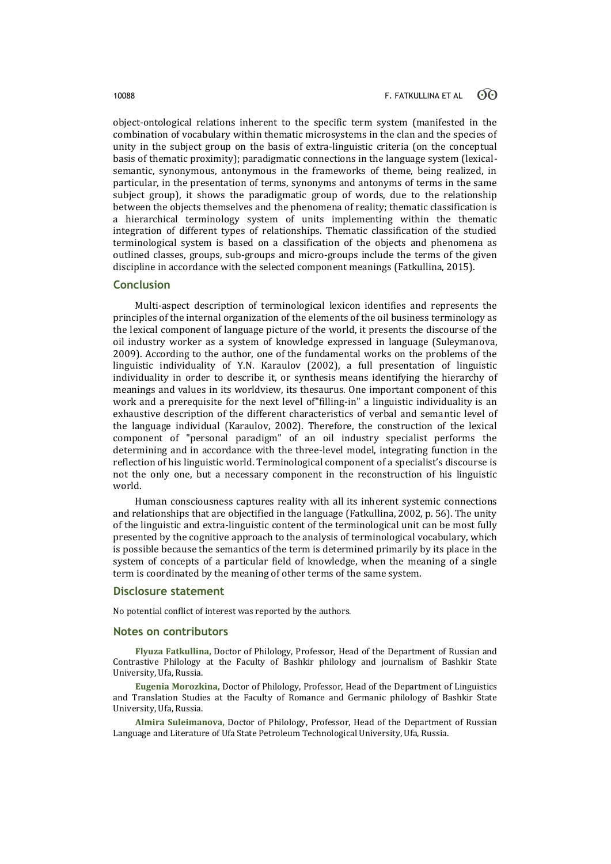object-ontological relations inherent to the specific term system (manifested in the combination of vocabulary within thematic microsystems in the clan and the species of unity in the subject group on the basis of extra-linguistic criteria (on the conceptual basis of thematic proximity); paradigmatic connections in the language system (lexicalsemantic, synonymous, antonymous in the frameworks of theme, being realized, in particular, in the presentation of terms, synonyms and antonyms of terms in the same subject group), it shows the paradigmatic group of words, due to the relationship between the objects themselves and the phenomena of reality; thematic classification is a hierarchical terminology system of units implementing within the thematic integration of different types of relationships. Thematic classification of the studied terminological system is based on a classification of the objects and phenomena as outlined classes, groups, sub-groups and micro-groups include the terms of the given discipline in accordance with the selected component meanings (Fatkullina, 2015).

# **Conclusion**

Multi-aspect description of terminological lexicon identifies and represents the principles of the internal organization of the elements of the oil business terminology as the lexical component of language picture of the world, it presents the discourse of the oil industry worker as a system of knowledge expressed in language (Suleymanova, 2009). According to the author, one of the fundamental works on the problems of the linguistic individuality of Y.N. Karaulov (2002), a full presentation of linguistic individuality in order to describe it, or synthesis means identifying the hierarchy of meanings and values in its worldview, its thesaurus. One important component of this work and a prerequisite for the next level of"filling-in" a linguistic individuality is an exhaustive description of the different characteristics of verbal and semantic level of the language individual (Karaulov, 2002). Therefore, the construction of the lexical component of "personal paradigm" of an oil industry specialist performs the determining and in accordance with the three-level model, integrating function in the reflection of his linguistic world. Terminological component of a specialist's discourse is not the only one, but a necessary component in the reconstruction of his linguistic world.

Human consciousness captures reality with all its inherent systemic connections and relationships that are objectified in the language (Fatkullina, 2002, p. 56). The unity of the linguistic and extra-linguistic content of the terminological unit can be most fully presented by the cognitive approach to the analysis of terminological vocabulary, which is possible because the semantics of the term is determined primarily by its place in the system of concepts of a particular field of knowledge, when the meaning of a single term is coordinated by the meaning of other terms of the same system.

### **Disclosure statement**

No potential conflict of interest was reported by the authors.

### **Notes on contributors**

**Flyuza Fatkullina,** Doctor of Philology, Professor, Head of the Department of Russian and Contrastive Philology at the Faculty of Bashkir philology and journalism of Bashkir State University, Ufa, Russia.

**Eugenia Morozkina,** Doctor of Philology, Professor, Head of the Department of Linguistics and Translation Studies at the Faculty of Romance and Germanic philology of Bashkir State University, Ufa, Russia.

**Almira Suleimanova,** Doctor of Philology, Professor, Head of the Department of Russian Language and Literature of Ufa State Petroleum Technological University, Ufa, Russia.